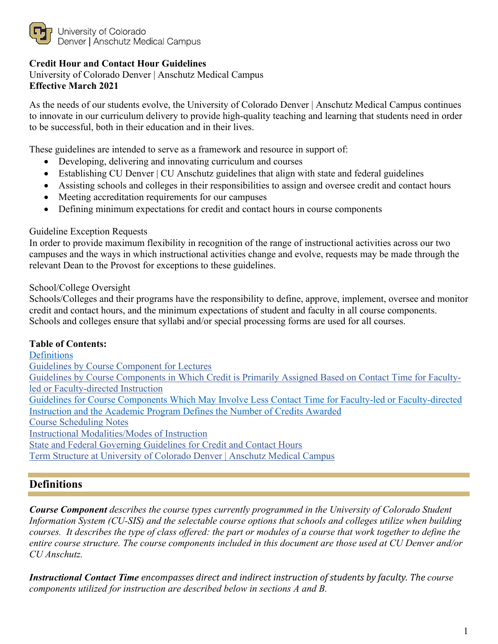

University of Colorado Denver | Anschutz Medical Campus

### **Credit Hour and Contact Hour Guidelines**

University of Colorado Denver | Anschutz Medical Campus **Effective March 2021**

As the needs of our students evolve, the University of Colorado Denver | Anschutz Medical Campus continues to innovate in our curriculum delivery to provide high-quality teaching and learning that students need in order to be successful, both in their education and in their lives.

These guidelines are intended to serve as a framework and resource in support of:

- Developing, delivering and innovating curriculum and courses
- Establishing CU Denver | CU Anschutz guidelines that align with state and federal guidelines
- Assisting schools and colleges in their responsibilities to assign and oversee credit and contact hours
- Meeting accreditation requirements for our campuses
- Defining minimum expectations for credit and contact hours in course components

### Guideline Exception Requests

In order to provide maximum flexibility in recognition of the range of instructional activities across our two campuses and the ways in which instructional activities change and evolve, requests may be made through the relevant Dean to the Provost for exceptions to these guidelines.

### School/College Oversight

Schools/Colleges and their programs have the responsibility to define, approve, implement, oversee and monitor credit and contact hours, and the minimum expectations of student and faculty in all course components. Schools and colleges ensure that syllabi and/or special processing forms are used for all courses.

### **Table of Contents:**

**Definitions** Guidelines by Course Component for Lectures Guidelines by Course Components in Which Credit is Primarily Assigned Based on Contact Time for Facultyled or Faculty-directed Instruction Guidelines for Course Components Which May Involve Less Contact Time for Faculty-led or Faculty-directed Instruction and the Academic Program Defines the Number of Credits Awarded Course Scheduling Notes Instructional Modalities/Modes of Instruction State and Federal Governing Guidelines for Credit and Contact Hours Term Structure at University of Colorado Denver | Anschutz Medical Campus

## **Definitions**

*Course Component describes the course types currently programmed in the University of Colorado Student Information System (CU-SIS) and the selectable course options that schools and colleges utilize when building courses. It describes the type of class offered: the part or modules of a course that work together to define the entire course structure. The course components included in this document are those used at CU Denver and/or CU Anschutz.* 

*Instructional Contact Time encompasses direct and indirect instruction of students by faculty. The course components utilized for instruction are described below in sections A and B.*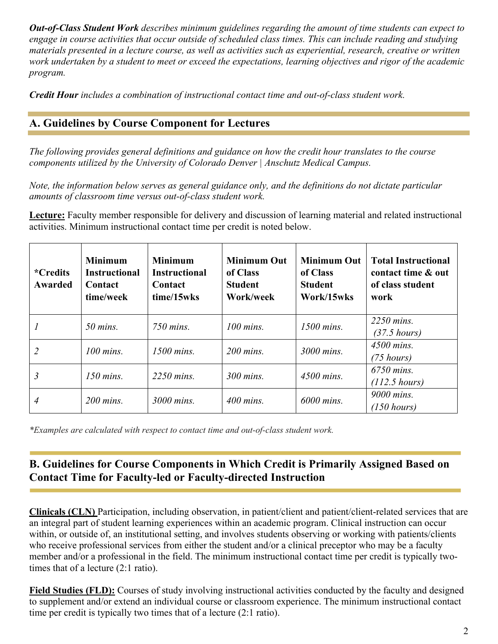*Out-of-Class Student Work describes minimum guidelines regarding the amount of time students can expect to engage in course activities that occur outside of scheduled class times. This can include reading and studying materials presented in a lecture course, as well as activities such as experiential, research, creative or written work undertaken by a student to meet or exceed the expectations, learning objectives and rigor of the academic program.*

*Credit Hour includes a combination of instructional contact time and out-of-class student work.*

## **A. Guidelines by Course Component for Lectures**

*The following provides general definitions and guidance on how the credit hour translates to the course components utilized by the University of Colorado Denver | Anschutz Medical Campus.* 

*Note, the information below serves as general guidance only, and the definitions do not dictate particular amounts of classroom time versus out-of-class student work.*

**Lecture:** Faculty member responsible for delivery and discussion of learning material and related instructional activities. Minimum instructional contact time per credit is noted below.

| <i>*Credits</i><br><b>Awarded</b> | <b>Minimum</b><br><b>Instructional</b><br>Contact<br>time/week | <b>Minimum</b><br><b>Instructional</b><br>Contact<br>time/15wks | <b>Minimum Out</b><br>of Class<br><b>Student</b><br>Work/week | <b>Minimum Out</b><br>of Class<br><b>Student</b><br>Work/15wks | <b>Total Instructional</b><br>contact time & out<br>of class student<br>work |
|-----------------------------------|----------------------------------------------------------------|-----------------------------------------------------------------|---------------------------------------------------------------|----------------------------------------------------------------|------------------------------------------------------------------------------|
|                                   | $50$ mins.                                                     | 750 mins.                                                       | $100$ mins.                                                   | $1500$ mins.                                                   | 2250 mins.<br>$(37.5 \; hours)$                                              |
|                                   | $100$ mins.                                                    | $1500$ mins.                                                    | $200$ mins.                                                   | 3000 mins.                                                     | 4500 mins.<br>$(75 \; hours)$                                                |
| $\mathfrak{Z}$                    | $150$ mins.                                                    | 2250 mins.                                                      | 300 mins.                                                     | 4500 mins.                                                     | 6750 mins.<br>$(112.5 \text{ hours})$                                        |
| 4                                 | $200$ mins.                                                    | 3000 mins.                                                      | $400$ mins.                                                   | 6000 mins.                                                     | 9000 mins.<br>$(150 \text{ hours})$                                          |

*\*Examples are calculated with respect to contact time and out-of-class student work.* 

# **B. Guidelines for Course Components in Which Credit is Primarily Assigned Based on Contact Time for Faculty-led or Faculty-directed Instruction**

**Clinicals (CLN)** Participation, including observation, in patient/client and patient/client-related services that are an integral part of student learning experiences within an academic program. Clinical instruction can occur within, or outside of, an institutional setting, and involves students observing or working with patients/clients who receive professional services from either the student and/or a clinical preceptor who may be a faculty member and/or a professional in the field. The minimum instructional contact time per credit is typically twotimes that of a lecture (2:1 ratio).

**Field Studies (FLD):** Courses of study involving instructional activities conducted by the faculty and designed to supplement and/or extend an individual course or classroom experience. The minimum instructional contact time per credit is typically two times that of a lecture (2:1 ratio).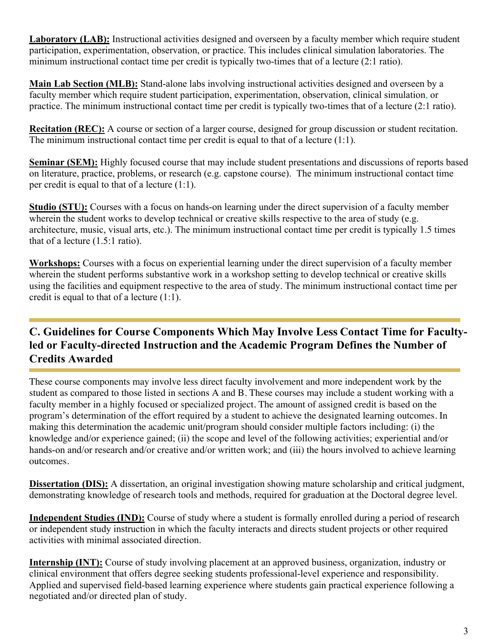**Laboratory (LAB):** Instructional activities designed and overseen by a faculty member which require student participation, experimentation, observation, or practice. This includes clinical simulation laboratories. The minimum instructional contact time per credit is typically two-times that of a lecture (2:1 ratio).

**Main Lab Section (MLB):** Stand-alone labs involving instructional activities designed and overseen by a faculty member which require student participation, experimentation, observation, clinical simulation, or practice. The minimum instructional contact time per credit is typically two-times that of a lecture (2:1 ratio).

**Recitation (REC):** A course or section of a larger course, designed for group discussion or student recitation. The minimum instructional contact time per credit is equal to that of a lecture (1:1).

**Seminar (SEM):** Highly focused course that may include student presentations and discussions of reports based on literature, practice, problems, or research (e.g. capstone course). The minimum instructional contact time per credit is equal to that of a lecture (1:1).

**Studio (STU):** Courses with a focus on hands-on learning under the direct supervision of a faculty member wherein the student works to develop technical or creative skills respective to the area of study (e.g. architecture, music, visual arts, etc.). The minimum instructional contact time per credit is typically 1.5 times that of a lecture (1.5:1 ratio).

**Workshops:** Courses with a focus on experiential learning under the direct supervision of a faculty member wherein the student performs substantive work in a workshop setting to develop technical or creative skills using the facilities and equipment respective to the area of study. The minimum instructional contact time per credit is equal to that of a lecture (1:1).

# **C. Guidelines for Course Components Which May Involve Less Contact Time for Facultyled or Faculty-directed Instruction and the Academic Program Defines the Number of Credits Awarded**

These course components may involve less direct faculty involvement and more independent work by the student as compared to those listed in sections A and B. These courses may include a student working with a faculty member in a highly focused or specialized project. The amount of assigned credit is based on the program's determination of the effort required by a student to achieve the designated learning outcomes. In making this determination the academic unit/program should consider multiple factors including: (i) the knowledge and/or experience gained; (ii) the scope and level of the following activities; experiential and/or hands-on and/or research and/or creative and/or written work; and (iii) the hours involved to achieve learning outcomes.

**Dissertation (DIS):** A dissertation, an original investigation showing mature scholarship and critical judgment, demonstrating knowledge of research tools and methods, required for graduation at the Doctoral degree level.

**Independent Studies (IND):** Course of study where a student is formally enrolled during a period of research or independent study instruction in which the faculty interacts and directs student projects or other required activities with minimal associated direction.

**Internship (INT):** Course of study involving placement at an approved business, organization, industry or clinical environment that offers degree seeking students professional-level experience and responsibility. Applied and supervised field-based learning experience where students gain practical experience following a negotiated and/or directed plan of study.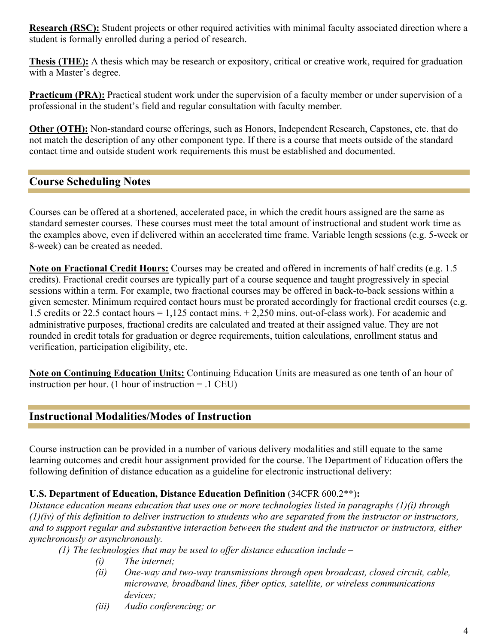**Research (RSC):** Student projects or other required activities with minimal faculty associated direction where a student is formally enrolled during a period of research.

**Thesis (THE):** A thesis which may be research or expository, critical or creative work, required for graduation with a Master's degree.

**Practicum (PRA):** Practical student work under the supervision of a faculty member or under supervision of a professional in the student's field and regular consultation with faculty member.

**Other (OTH):** Non-standard course offerings, such as Honors, Independent Research, Capstones, etc. that do not match the description of any other component type. If there is a course that meets outside of the standard contact time and outside student work requirements this must be established and documented.

# **Course Scheduling Notes**

Courses can be offered at a shortened, accelerated pace, in which the credit hours assigned are the same as standard semester courses. These courses must meet the total amount of instructional and student work time as the examples above, even if delivered within an accelerated time frame. Variable length sessions (e.g. 5-week or 8-week) can be created as needed.

**Note on Fractional Credit Hours:** Courses may be created and offered in increments of half credits (e.g. 1.5 credits). Fractional credit courses are typically part of a course sequence and taught progressively in special sessions within a term. For example, two fractional courses may be offered in back-to-back sessions within a given semester. Minimum required contact hours must be prorated accordingly for fractional credit courses (e.g. 1.5 credits or 22.5 contact hours = 1,125 contact mins. + 2,250 mins. out-of-class work). For academic and administrative purposes, fractional credits are calculated and treated at their assigned value. They are not rounded in credit totals for graduation or degree requirements, tuition calculations, enrollment status and verification, participation eligibility, etc.

**Note on Continuing Education Units:** Continuing Education Units are measured as one tenth of an hour of instruction per hour. (1 hour of instruction = .1 CEU)

## **Instructional Modalities/Modes of Instruction**

Course instruction can be provided in a number of various delivery modalities and still equate to the same learning outcomes and credit hour assignment provided for the course. The Department of Education offers the following definition of distance education as a guideline for electronic instructional delivery:

### **U.S. Department of Education, Distance Education Definition** (34CFR 600.2\*\*)**:**

*Distance education means education that uses one or more technologies listed in paragraphs (1)(i) through (1)(iv) of this definition to deliver instruction to students who are separated from the instructor or instructors, and to support regular and substantive interaction between the student and the instructor or instructors, either synchronously or asynchronously.* 

- *(1) The technologies that may be used to offer distance education include –*
	- *(i) The internet;*
	- *(ii) One-way and two-way transmissions through open broadcast, closed circuit, cable, microwave, broadband lines, fiber optics, satellite, or wireless communications devices;*
	- *(iii) Audio conferencing; or*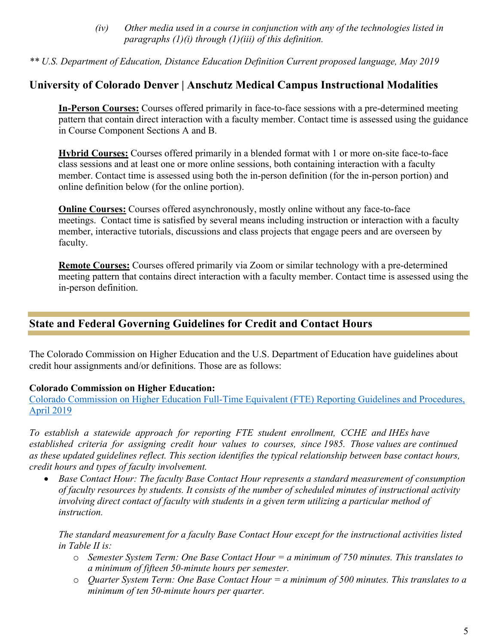*(iv) Other media used in a course in conjunction with any of the technologies listed in paragraphs (1)(i) through (1)(iii) of this definition.*

*\*\* U.S. Department of Education, Distance Education Definition Current proposed language, May 2019*

## **University of Colorado Denver | Anschutz Medical Campus Instructional Modalities**

**In-Person Courses:** Courses offered primarily in face-to-face sessions with a pre-determined meeting pattern that contain direct interaction with a faculty member. Contact time is assessed using the guidance in Course Component Sections A and B.

**Hybrid Courses:** Courses offered primarily in a blended format with 1 or more on-site face-to-face class sessions and at least one or more online sessions, both containing interaction with a faculty member. Contact time is assessed using both the in-person definition (for the in-person portion) and online definition below (for the online portion).

**Online Courses:** Courses offered asynchronously, mostly online without any face-to-face meetings. Contact time is satisfied by several means including instruction or interaction with a faculty member, interactive tutorials, discussions and class projects that engage peers and are overseen by faculty.

**Remote Courses:** Courses offered primarily via Zoom or similar technology with a pre-determined meeting pattern that contains direct interaction with a faculty member. Contact time is assessed using the in-person definition.

## **State and Federal Governing Guidelines for Credit and Contact Hours**

The Colorado Commission on Higher Education and the U.S. Department of Education have guidelines about credit hour assignments and/or definitions. Those are as follows:

#### **Colorado Commission on Higher Education:**

Colorado Commission on Higher Education Full-Time Equivalent (FTE) Reporting Guidelines and Procedures, April 2019

*To establish a statewide approach for reporting FTE student enrollment, CCHE and IHEs have established criteria for assigning credit hour values to courses, since 1985. Those values are continued as these updated guidelines reflect. This section identifies the typical relationship between base contact hours, credit hours and types of faculty involvement.*

• *Base Contact Hour: The faculty Base Contact Hour represents a standard measurement of consumption of faculty resources by students. It consists of the number of scheduled minutes of instructional activity involving direct contact of faculty with students in a given term utilizing a particular method of instruction.* 

*The standard measurement for a faculty Base Contact Hour except for the instructional activities listed in Table II is:*

- o *Semester System Term: One Base Contact Hour = a minimum of 750 minutes. This translates to a minimum of fifteen 50-minute hours per semester.*
- o *Quarter System Term: One Base Contact Hour = a minimum of 500 minutes. This translates to a minimum of ten 50-minute hours per quarter.*